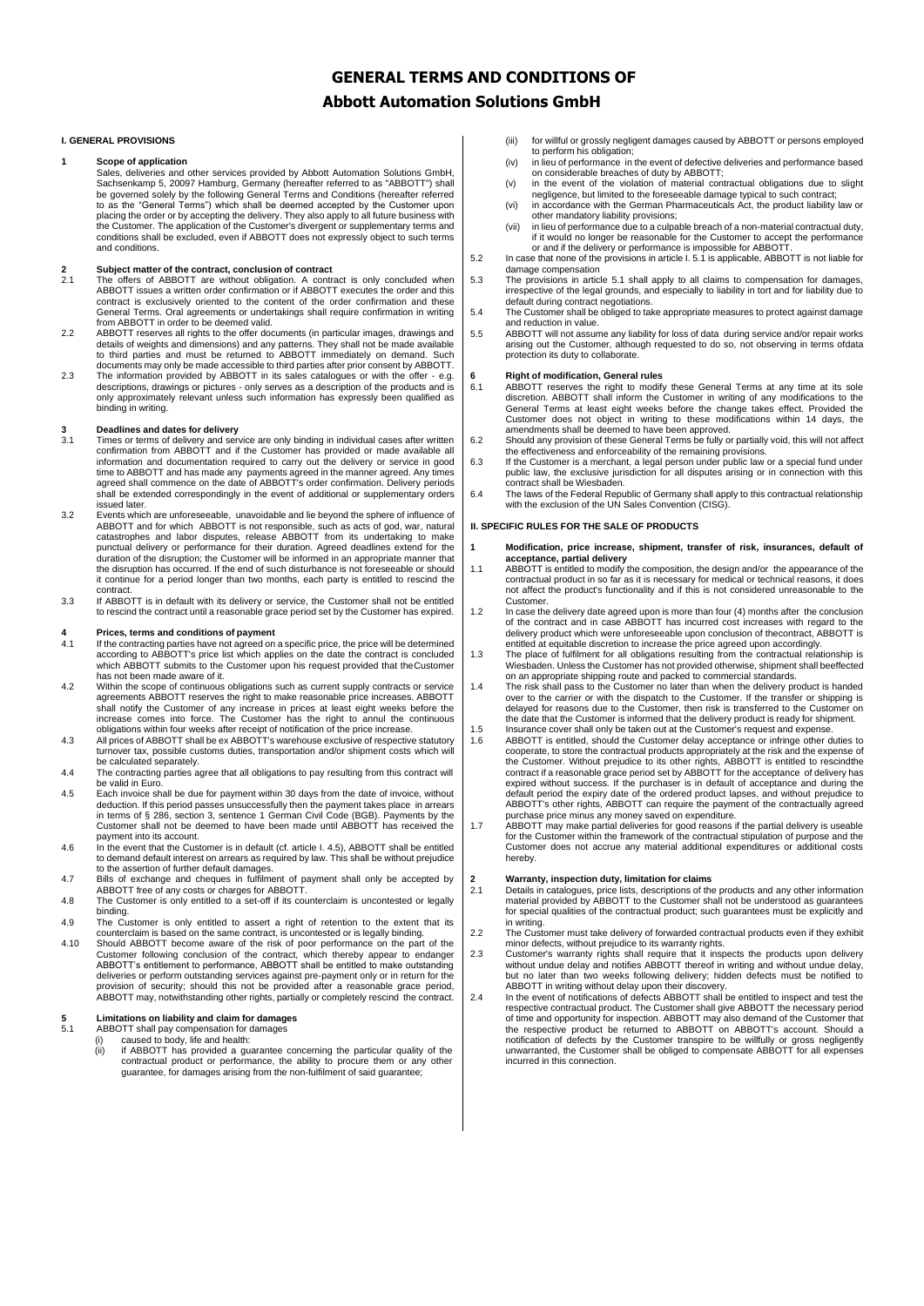### **GENERAL TERMS AND CONDITIONS OF**

### **Abbott Automation Solutions GmbH**

#### **I. GENERAL PROVISIONS**

#### **1 Scope of application**

Sales, deliveries and other services provided by Abbott Automation Solutions GmbH, Sachsenkamp 5, 20097 Hamburg, Germany (hereafter referred to as "ABBOTT") shall be depresented to as the "General Terms") which shall be de conditions shall be excluded, even if ABBOTT does not expressly object to such terms and conditions.

## **2 Subject matter of the contract, conclusion of contract**

- 2.1 The offers of ABBOTT are without obligation. A contract is only concluded when<br>ABBOTT issues a written order confirmation or if ABBOTT executes the order and this<br>contract is exclusively oriented to the content of the General Terms. Oral agreements or undertakings shall require confirmation in writing from ABBOTT in order to be deemed valid.
- 2.2 ABBOTT reserves all rights to the offer documents (in particular images, drawings and details of weights and dimensions) and any patterns. They shall not be made available to third partise and must be returned to ABBOT
- descriptions, drawings or pictures only serves as a description of the products and is only approximately relevant unless such information has expressly been qualified as binding in writing.

# **3 Deadlines and dates for delivery**

- 3.1 Times or terms of delivery and service are only binding in individual cases after written<br>confirmation from ABBOTT and if the Customer has provided or made available all<br>information and documentation required to carry time to ABBOTT and has made any payments agreed in the manner agreed. Any times agreed shall commence on the date of ABBOTT's order confirmation. Delivery periods shall be extended correspondingly in the event of additional or supplementary orders
- issued later. 3.2 Events which are unforeseeable, unavoidable and lie beyond the sphere of influence of ABBOTT and for which ABBOTT is not responsible, such as acts of god, war, natural catastrophes and labor disputes, release ABBOTT from its undertaking to make punctual delivery or performance for their duration. Agreed deadlines extend for the duration of the disruption; the Customer will be informed in an appropriate manner that the disruption has occurred. If the end of such disturbance is not foreseeable or should it continue for a period longer than two months, each party is entitled to rescind the contract.
- 3.3 If ABBOTT is in default with its delivery or service, the Customer shall not be entitled to rescind the contract until a reasonable grace period set by the Customer has expired.

# **4 Prices, terms and conditions of payment**

- If the contracting parties have not agreed on a specific price, the price will be determined according to ABBOTT's price list which applies on the date the contract is concluded which ABBOTT submits to the Customer upon his request provided that theCustomer has not been made aware of it.
- 4.2 Within the scope of continuous obligations such as current supply contracts or service agreements ABBOTT reserves the right to make reasonable price increases. ABBOTT shall notify the Customer of any increase in prices at least eight weeks before the increase comes into force. The Customer has the right to annul the continuous
- obligations within four weeks after receipt of notification of the price increase. 4.3 All prices of ABBOTT shall be ex ABBOTT's warehouse exclusive of respective statutory turnover tax, possible customs duties, transportation and/or shipment costs which will be calculated separately.
- 4.4 The contracting parties agree that all obligations to pay resulting from this contract will be valid in Euro.
- 4.5 Each invoice shall be due for payment within 30 days from the date of invoice, without deduction. If this period passes unsuccessfully then the payment takes place in arrears in terms of § 286, section 3, sentence 1 German Civil Code (BGB). Payments by the Customer shall not be deemed to have been made until ABBOTT has received the payment into its account.
- 4.6 In the event that the Customer is in default (cf. article I. 4.5), ABBOTT shall be entitled to demand default interest on arrears as required by law. This shall be without prejudice to the assertion of further default damages. 4.7 Bills of exchange and cheques in fulfilment of payment shall only be accepted by
- ABBOTT free of any costs or charges for ABBOTT. 4.8 The Customer is only entitled to a set-off if its counterclaim is uncontested or legally
- binding. 4.9 The Customer is only entitled to assert a right of retention to the extent that its
- counterclaim is based on the same contract, is uncontested or is legally binding.
- 4.10 Should ABBOTT become aware of the risk of poor performance on the part of the Customer following conclusion of the contract, which thereby appear to endanger<br>ABBOTT's entitlement to performance, ABBOTT shall be entitled to make outstanding<br>deliveries or perform outstanding services against pre-payme provision of security; should this not be provided after a reasonable grace period, ABBOTT may, notwithstanding other rights, partially or completely rescind the contract.

## **5 Limitations on liability and claim for damages**

5.1 ABBOTT shall pay compensation for damages<br>(i) caused to body, life and health:<br>(ii) if ABBOTT has provided a guarantee concerning the particular quality of the contractual product or performance, the ability to procure them or any other guarantee, for damages arising from the non-fulfilment of said guarantee;

- (iii) for willful or grossly negligent damages caused by ABBOTT or persons employed to perform his obligation; (iv) in lieu of performance in the event of defective deliveries and performance based
- on considerable breaches of duty by ABBOTT; (v) in the event of the violation of material contractual obligations due to slight
- negligence, but limited to the foreseeable damage typical to such contract;<br>(vi) in accordance with the German Pharmaceuticals Act, the product liability law or
- other mandatory liability provisions; (vii) in lieu of performance due to a culpable breach of a non-material contractual duty,
- if it would no longer be reasonable for the Customer to accept the performance<br>or and if the delivery or performance is impossible for ABBOTT.<br>In case that none of the provisions in article I. 5.1 is applicable, ABBOTT is
	- damage compensation
- 5.3 The provisions in article 5.1 shall apply to all claims to compensation for damages, irrespective of the legal grounds, and especially to liability in tort and for liability due to default during contract negotiations.
- 5.4 The Customer shall be obliged to take appropriate measures to protect against damage and reduction in value.
- 5.5 ABBOTT will not assume any liability for loss of data during service and/or repair works arising out the Customer, although requested to do so, not observing in terms ofdata protection its duty to collaborate.

## **6 Right of modification, General rules**

- 6.1 ABBOTT reserves the right to modify these General Terms at any time at its sole discretion. ABBOTT shall inform the Customer in writing of any modifications to the General Terms at least eight weeks before the change t amendments shall be deemed to have been approved. 6.2 Should any provision of these General Terms be fully or partially void, this will not affect
- 
- the effectiveness and enforceability of the remaining provisions. 6.3 If the Customer is a merchant, a legal person under public law or a special fund under public law, the exclusive jurisdiction for all disputes arising or in connection with this contract shall be Wiesbaden.
- 6.4 The laws of the Federal Republic of Germany shall apply to this contractual relationship with the exclusion of the UN Sales Convention (CISG).

#### **II. SPECIFIC RULES FOR THE SALE OF PRODUCTS**

- **1 Modification, price increase, shipment, transfer of risk, insurances, default of acceptance, partial delivery**
- 1.1 ABBOTT is entitled to modify the composition, the design and/or the appearance of the contractual product in so far as it is necessary for medical or technical reasons, it does not affect the product's functionality and if this is not considered unreasonable to the Customer.
- 1.2 In case the delivery date agreed upon is more than four (4) months after the conclusion of the contract and in case ABBOTT has incurred cost increases with regard to the delivery product which were unforeseeable upon conclusion of thecontract, ABBOTT is
- entitled at equitable discretion to increase the price agreed upon accordingly.<br>The place of fulfillment for all obligations resulting from the contractual relationship is<br>Wiesbaden. Unless the Customer has not provided ot
- delayed for reasons due to the Customer, then risk is transferred to the Customer or<br>the date that the Customer is informed that the delivery product is ready for shipment.<br>1.5 Insurance cover shall only be taken out at th
- 1.6 ABBOTT is entitled, should the Customer delay acceptance or infringe other duties to cooperate, to store the contractual products appropriately at the risk and the expense of<br>the Customer. Without prejudice to its other rights, ABBOTT is entitled to rescind<br>the contract if a reasonable grace period set by ABBOTT's other rights, ABBOTT can require the payment of the contractually agreed
- purchase price minus any money saved on expenditure.<br>1.7 ABBOTT may make partial deliveries for good reasons if the partial delivery is useable<br>for the Customer within the framework of the contractual stipulation of purpos Customer does not accrue any material additional expenditures or additional costs hereby.

# **2 Warranty, inspection duty, limitation for claims**

- 2.1 Details in catalogues, price lists, descriptions of the products and any other information material provided by ABBOTT to the Customer shall not be understood as guarantees for special qualities of the contractual product; such guarantees must be explicitly and in writing.
- 2.2 The Customer must take delivery of forwarded contractual products even if they exhibit minor defects, without prejudice to its warranty rights. 2.3 Customer's warranty rights shall require that it inspects the products upon delivery
- without undue delay and notifies ABBOTT thereof in writing and without undue delay,<br>but no later than two weeks following delivery; hidden defects must be notified to<br>ABBOTT in writing without delay upon their discovery.<br>2
- respective contractual product. The Customer shall give ABBOTT the necessary period of time and opportunity for inspection. ABBOTT may also demand of the Customer that the respective product be returned to ABBOTT on ABBOTT's account. Should a<br>notification of defects by the Customer transpire to be willfully or gross negligently<br>unwarranted, the Customer shall be obliged to compensate ABB incurred in this connection.